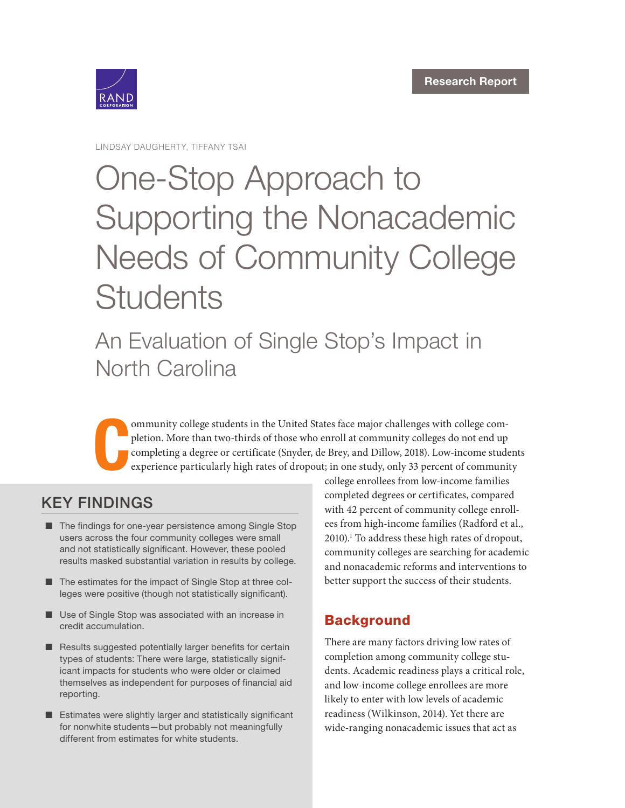

LINDSAY DAUGHERTY, TIFFANY TSAI

# One-Stop Approach to [Supporting the Nonacademic](https://www.rand.org/pubs/research_reports/RR2767.html)  Needs of Community College **Students**

An Evaluation of Single Stop's Impact in North Carolina

C ommunity college students in the United States face major challenges with college completion. More than two-thirds of those who enroll at community colleges do not end up completing a degree or certificate (Snyder, de Brey, and Dillow, 2018). Low-income students experience particularly high rates of dropout; in one study, only 33 percent of community

# KEY FINDINGS

- The findings for one-year persistence among Single Stop users across the four community colleges were small and not statistically significant. However, these pooled results masked substantial variation in results by college.
- The estimates for the impact of Single Stop at three colleges were positive (though not statistically significant).
- Use of Single Stop was associated with an increase in credit accumulation.
- Results suggested potentially larger benefits for certain types of students: There were large, statistically significant impacts for students who were older or claimed themselves as independent for purposes of financial aid reporting.
- Estimates were slightly larger and statistically significant for nonwhite students—but probably not meaningfully different from estimates for white students.

college enrollees from low-income families completed degrees or certificates, compared with 42 percent of community college enrollees from high-income families (Radford et al., 2010).<sup>1</sup> To address these high rates of dropout, community colleges are searching for academic and nonacademic reforms and interventions to better support the success of their students.

# **Background**

There are many factors driving low rates of completion among community college students. Academic readiness plays a critical role, and low-income college enrollees are more likely to enter with low levels of academic readiness (Wilkinson, 2014). Yet there are wide-ranging nonacademic issues that act as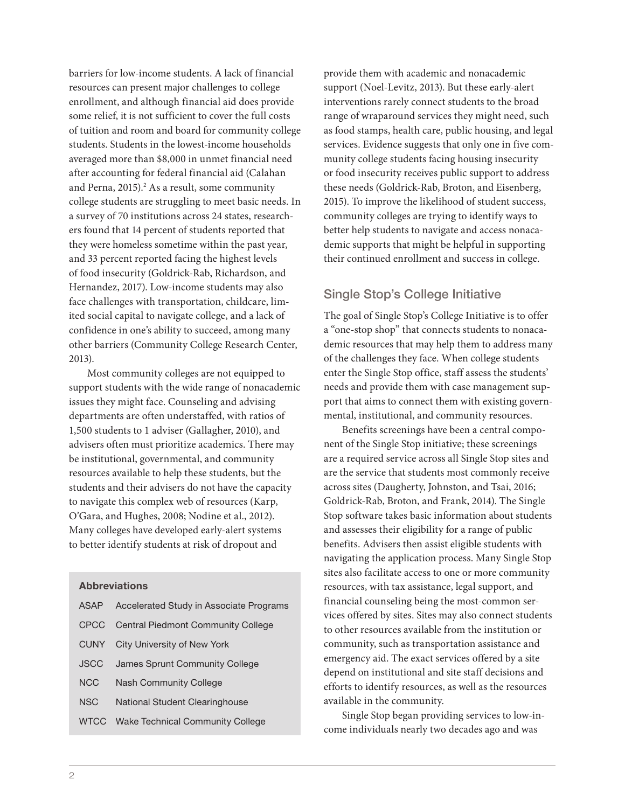barriers for low-income students. A lack of financial resources can present major challenges to college enrollment, and although financial aid does provide some relief, it is not sufficient to cover the full costs of tuition and room and board for community college students. Students in the lowest-income households averaged more than \$8,000 in unmet financial need after accounting for federal financial aid (Calahan and Perna, 2015).<sup>2</sup> As a result, some community college students are struggling to meet basic needs. In a survey of 70 institutions across 24 states, researchers found that 14 percent of students reported that they were homeless sometime within the past year, and 33 percent reported facing the highest levels of food insecurity (Goldrick-Rab, Richardson, and Hernandez, 2017). Low-income students may also face challenges with transportation, childcare, limited social capital to navigate college, and a lack of confidence in one's ability to succeed, among many other barriers (Community College Research Center, 2013).

Most community colleges are not equipped to support students with the wide range of nonacademic issues they might face. Counseling and advising departments are often understaffed, with ratios of 1,500 students to 1 adviser (Gallagher, 2010), and advisers often must prioritize academics. There may be institutional, governmental, and community resources available to help these students, but the students and their advisers do not have the capacity to navigate this complex web of resources (Karp, O'Gara, and Hughes, 2008; Nodine et al., 2012). Many colleges have developed early-alert systems to better identify students at risk of dropout and

#### Abbreviations

| ASAP        | Accelerated Study in Associate Programs |
|-------------|-----------------------------------------|
| CPCC        | Central Piedmont Community College      |
| <b>CUNY</b> | City University of New York             |
| <b>JSCC</b> | James Sprunt Community College          |
| <b>NCC</b>  | Nash Community College                  |
| <b>NSC</b>  | National Student Clearinghouse          |
| <b>WTCC</b> | Wake Technical Community College        |
|             |                                         |

provide them with academic and nonacademic support (Noel-Levitz, 2013). But these early-alert interventions rarely connect students to the broad range of wraparound services they might need, such as food stamps, health care, public housing, and legal services. Evidence suggests that only one in five community college students facing housing insecurity or food insecurity receives public support to address these needs (Goldrick-Rab, Broton, and Eisenberg, 2015). To improve the likelihood of student success, community colleges are trying to identify ways to better help students to navigate and access nonacademic supports that might be helpful in supporting their continued enrollment and success in college.

#### Single Stop's College Initiative

The goal of Single Stop's College Initiative is to offer a "one-stop shop" that connects students to nonacademic resources that may help them to address many of the challenges they face. When college students enter the Single Stop office, staff assess the students' needs and provide them with case management support that aims to connect them with existing governmental, institutional, and community resources.

Benefits screenings have been a central component of the Single Stop initiative; these screenings are a required service across all Single Stop sites and are the service that students most commonly receive across sites (Daugherty, Johnston, and Tsai, 2016; Goldrick-Rab, Broton, and Frank, 2014). The Single Stop software takes basic information about students and assesses their eligibility for a range of public benefits. Advisers then assist eligible students with navigating the application process. Many Single Stop sites also facilitate access to one or more community resources, with tax assistance, legal support, and financial counseling being the most-common services offered by sites. Sites may also connect students to other resources available from the institution or community, such as transportation assistance and emergency aid. The exact services offered by a site depend on institutional and site staff decisions and efforts to identify resources, as well as the resources available in the community.

Single Stop began providing services to low-income individuals nearly two decades ago and was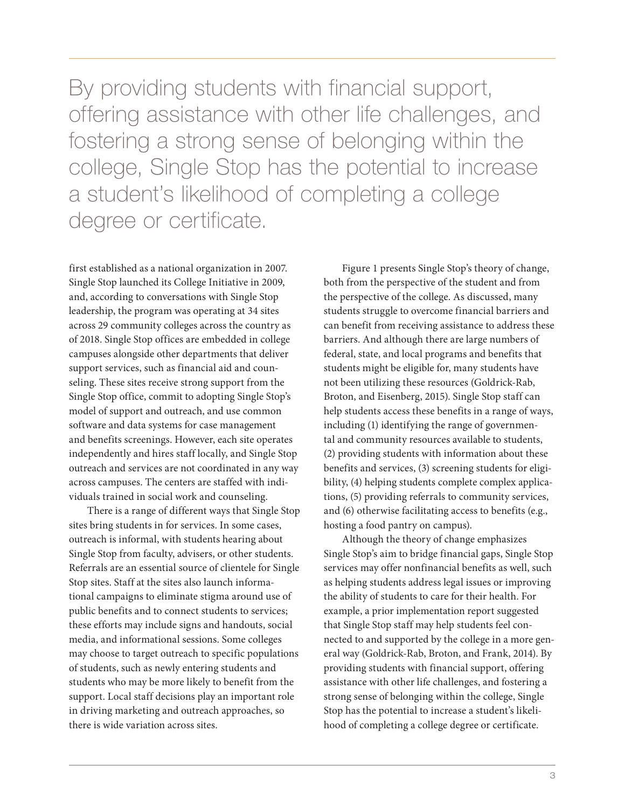By providing students with financial support, offering assistance with other life challenges, and fostering a strong sense of belonging within the college, Single Stop has the potential to increase a student's likelihood of completing a college degree or certificate.

first established as a national organization in 2007. Single Stop launched its College Initiative in 2009, and, according to conversations with Single Stop leadership, the program was operating at 34 sites across 29 community colleges across the country as of 2018. Single Stop offices are embedded in college campuses alongside other departments that deliver support services, such as financial aid and counseling. These sites receive strong support from the Single Stop office, commit to adopting Single Stop's model of support and outreach, and use common software and data systems for case management and benefits screenings. However, each site operates independently and hires staff locally, and Single Stop outreach and services are not coordinated in any way across campuses. The centers are staffed with individuals trained in social work and counseling.

There is a range of different ways that Single Stop sites bring students in for services. In some cases, outreach is informal, with students hearing about Single Stop from faculty, advisers, or other students. Referrals are an essential source of clientele for Single Stop sites. Staff at the sites also launch informational campaigns to eliminate stigma around use of public benefits and to connect students to services; these efforts may include signs and handouts, social media, and informational sessions. Some colleges may choose to target outreach to specific populations of students, such as newly entering students and students who may be more likely to benefit from the support. Local staff decisions play an important role in driving marketing and outreach approaches, so there is wide variation across sites.

Figure 1 presents Single Stop's theory of change, both from the perspective of the student and from the perspective of the college. As discussed, many students struggle to overcome financial barriers and can benefit from receiving assistance to address these barriers. And although there are large numbers of federal, state, and local programs and benefits that students might be eligible for, many students have not been utilizing these resources (Goldrick-Rab, Broton, and Eisenberg, 2015). Single Stop staff can help students access these benefits in a range of ways, including (1) identifying the range of governmental and community resources available to students, (2) providing students with information about these benefits and services, (3) screening students for eligibility, (4) helping students complete complex applications, (5) providing referrals to community services, and (6) otherwise facilitating access to benefits (e.g., hosting a food pantry on campus).

Although the theory of change emphasizes Single Stop's aim to bridge financial gaps, Single Stop services may offer nonfinancial benefits as well, such as helping students address legal issues or improving the ability of students to care for their health. For example, a prior implementation report suggested that Single Stop staff may help students feel connected to and supported by the college in a more general way (Goldrick-Rab, Broton, and Frank, 2014). By providing students with financial support, offering assistance with other life challenges, and fostering a strong sense of belonging within the college, Single Stop has the potential to increase a student's likelihood of completing a college degree or certificate.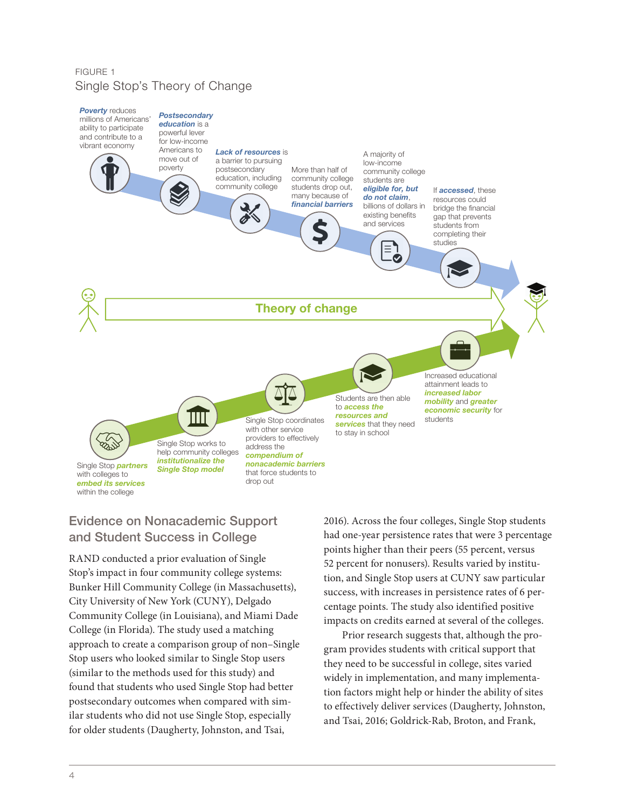#### FIGURE 1 Single Stop's Theory of Change



# Evidence on Nonacademic Support and Student Success in College

RAND conducted a prior evaluation of Single Stop's impact in four community college systems: Bunker Hill Community College (in Massachusetts), City University of New York (CUNY), Delgado Community College (in Louisiana), and Miami Dade College (in Florida). The study used a matching approach to create a comparison group of non–Single Stop users who looked similar to Single Stop users (similar to the methods used for this study) and found that students who used Single Stop had better postsecondary outcomes when compared with similar students who did not use Single Stop, especially for older students (Daugherty, Johnston, and Tsai,

2016). Across the four colleges, Single Stop students had one-year persistence rates that were 3 percentage points higher than their peers (55 percent, versus 52 percent for nonusers). Results varied by institution, and Single Stop users at CUNY saw particular success, with increases in persistence rates of 6 percentage points. The study also identified positive impacts on credits earned at several of the colleges.

Prior research suggests that, although the program provides students with critical support that they need to be successful in college, sites varied widely in implementation, and many implementation factors might help or hinder the ability of sites to effectively deliver services (Daugherty, Johnston, and Tsai, 2016; Goldrick-Rab, Broton, and Frank,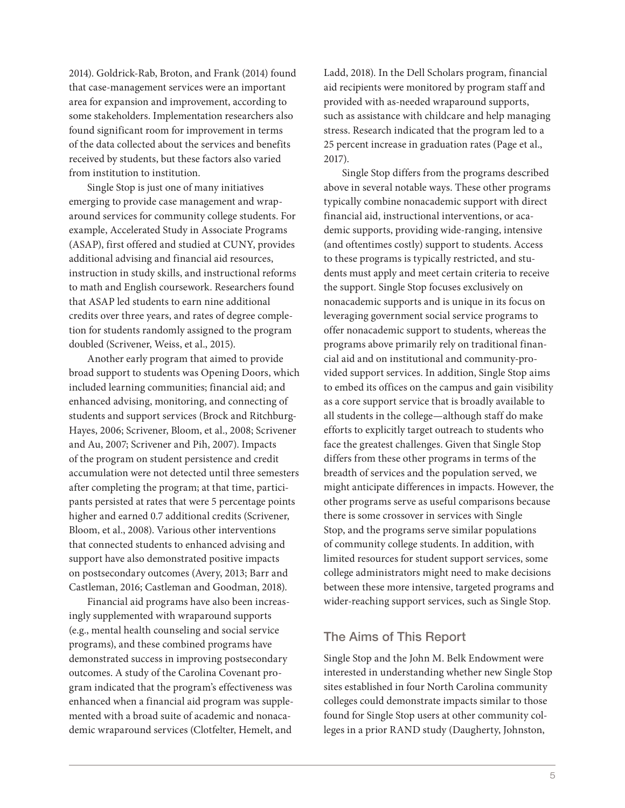2014). Goldrick-Rab, Broton, and Frank (2014) found that case-management services were an important area for expansion and improvement, according to some stakeholders. Implementation researchers also found significant room for improvement in terms of the data collected about the services and benefits received by students, but these factors also varied from institution to institution.

Single Stop is just one of many initiatives emerging to provide case management and wraparound services for community college students. For example, Accelerated Study in Associate Programs (ASAP), first offered and studied at CUNY, provides additional advising and financial aid resources, instruction in study skills, and instructional reforms to math and English coursework. Researchers found that ASAP led students to earn nine additional credits over three years, and rates of degree completion for students randomly assigned to the program doubled (Scrivener, Weiss, et al., 2015).

Another early program that aimed to provide broad support to students was Opening Doors, which included learning communities; financial aid; and enhanced advising, monitoring, and connecting of students and support services (Brock and Ritchburg-Hayes, 2006; Scrivener, Bloom, et al., 2008; Scrivener and Au, 2007; Scrivener and Pih, 2007). Impacts of the program on student persistence and credit accumulation were not detected until three semesters after completing the program; at that time, participants persisted at rates that were 5 percentage points higher and earned 0.7 additional credits (Scrivener, Bloom, et al., 2008). Various other interventions that connected students to enhanced advising and support have also demonstrated positive impacts on postsecondary outcomes (Avery, 2013; Barr and Castleman, 2016; Castleman and Goodman, 2018).

Financial aid programs have also been increasingly supplemented with wraparound supports (e.g., mental health counseling and social service programs), and these combined programs have demonstrated success in improving postsecondary outcomes. A study of the Carolina Covenant program indicated that the program's effectiveness was enhanced when a financial aid program was supplemented with a broad suite of academic and nonacademic wraparound services (Clotfelter, Hemelt, and

Ladd, 2018). In the Dell Scholars program, financial aid recipients were monitored by program staff and provided with as-needed wraparound supports, such as assistance with childcare and help managing stress. Research indicated that the program led to a 25 percent increase in graduation rates (Page et al., 2017).

Single Stop differs from the programs described above in several notable ways. These other programs typically combine nonacademic support with direct financial aid, instructional interventions, or academic supports, providing wide-ranging, intensive (and oftentimes costly) support to students. Access to these programs is typically restricted, and students must apply and meet certain criteria to receive the support. Single Stop focuses exclusively on nonacademic supports and is unique in its focus on leveraging government social service programs to offer nonacademic support to students, whereas the programs above primarily rely on traditional financial aid and on institutional and community-provided support services. In addition, Single Stop aims to embed its offices on the campus and gain visibility as a core support service that is broadly available to all students in the college—although staff do make efforts to explicitly target outreach to students who face the greatest challenges. Given that Single Stop differs from these other programs in terms of the breadth of services and the population served, we might anticipate differences in impacts. However, the other programs serve as useful comparisons because there is some crossover in services with Single Stop, and the programs serve similar populations of community college students. In addition, with limited resources for student support services, some college administrators might need to make decisions between these more intensive, targeted programs and wider-reaching support services, such as Single Stop.

#### The Aims of This Report

Single Stop and the John M. Belk Endowment were interested in understanding whether new Single Stop sites established in four North Carolina community colleges could demonstrate impacts similar to those found for Single Stop users at other community colleges in a prior RAND study (Daugherty, Johnston,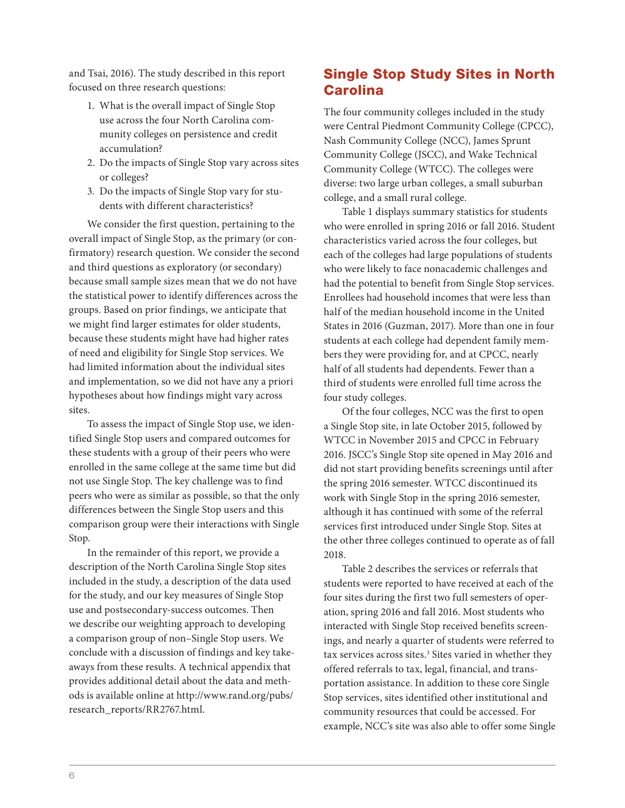and Tsai, 2016). The study described in this report focused on three research questions:

- 1. What is the overall impact of Single Stop use across the four North Carolina community colleges on persistence and credit accumulation?
- 2. Do the impacts of Single Stop vary across sites or colleges?
- 3. Do the impacts of Single Stop vary for students with different characteristics?

We consider the first question, pertaining to the overall impact of Single Stop, as the primary (or confirmatory) research question. We consider the second and third questions as exploratory (or secondary) because small sample sizes mean that we do not have the statistical power to identify differences across the groups. Based on prior findings, we anticipate that we might find larger estimates for older students, because these students might have had higher rates of need and eligibility for Single Stop services. We had limited information about the individual sites and implementation, so we did not have any a priori hypotheses about how findings might vary across sites.

To assess the impact of Single Stop use, we identified Single Stop users and compared outcomes for these students with a group of their peers who were enrolled in the same college at the same time but did not use Single Stop. The key challenge was to find peers who were as similar as possible, so that the only differences between the Single Stop users and this comparison group were their interactions with Single Stop.

In the remainder of this report, we provide a description of the North Carolina Single Stop sites included in the study, a description of the data used for the study, and our key measures of Single Stop use and postsecondary-success outcomes. Then we describe our weighting approach to developing a comparison group of non–Single Stop users. We conclude with a discussion of findings and key takeaways from these results. A technical appendix that provides additional detail about the data and methods is available online at [http://www.rand.org/pubs/](http://www.rand.org/pubs/research_reports/RR2767.html) [research\\_reports/RR2767.html](http://www.rand.org/pubs/research_reports/RR2767.html).

# Single Stop Study Sites in North **Carolina**

The four community colleges included in the study were Central Piedmont Community College (CPCC), Nash Community College (NCC), James Sprunt Community College (JSCC), and Wake Technical Community College (WTCC). The colleges were diverse: two large urban colleges, a small suburban college, and a small rural college.

Table 1 displays summary statistics for students who were enrolled in spring 2016 or fall 2016. Student characteristics varied across the four colleges, but each of the colleges had large populations of students who were likely to face nonacademic challenges and had the potential to benefit from Single Stop services. Enrollees had household incomes that were less than half of the median household income in the United States in 2016 (Guzman, 2017). More than one in four students at each college had dependent family members they were providing for, and at CPCC, nearly half of all students had dependents. Fewer than a third of students were enrolled full time across the four study colleges.

Of the four colleges, NCC was the first to open a Single Stop site, in late October 2015, followed by WTCC in November 2015 and CPCC in February 2016. JSCC's Single Stop site opened in May 2016 and did not start providing benefits screenings until after the spring 2016 semester. WTCC discontinued its work with Single Stop in the spring 2016 semester, although it has continued with some of the referral services first introduced under Single Stop. Sites at the other three colleges continued to operate as of fall 2018.

Table 2 describes the services or referrals that students were reported to have received at each of the four sites during the first two full semesters of operation, spring 2016 and fall 2016. Most students who interacted with Single Stop received benefits screenings, and nearly a quarter of students were referred to tax services across sites.<sup>3</sup> Sites varied in whether they offered referrals to tax, legal, financial, and transportation assistance. In addition to these core Single Stop services, sites identified other institutional and community resources that could be accessed. For example, NCC's site was also able to offer some Single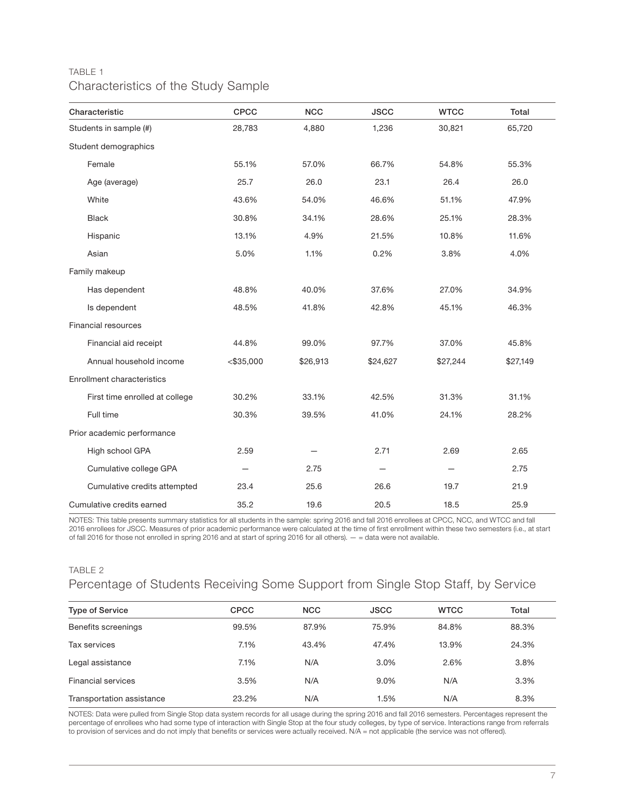#### TABLE 1 Characteristics of the Study Sample

| Characteristic                 | <b>CPCC</b>  | <b>NCC</b> | <b>JSCC</b> | <b>WTCC</b> | Total    |
|--------------------------------|--------------|------------|-------------|-------------|----------|
| Students in sample (#)         | 28,783       | 4,880      | 1,236       | 30,821      | 65,720   |
| Student demographics           |              |            |             |             |          |
| Female                         | 55.1%        | 57.0%      | 66.7%       | 54.8%       | 55.3%    |
| Age (average)                  | 25.7         | 26.0       | 23.1        | 26.4        | 26.0     |
| White                          | 43.6%        | 54.0%      | 46.6%       | 51.1%       | 47.9%    |
| <b>Black</b>                   | 30.8%        | 34.1%      | 28.6%       | 25.1%       | 28.3%    |
| Hispanic                       | 13.1%        | 4.9%       | 21.5%       | 10.8%       | 11.6%    |
| Asian                          | 5.0%         | 1.1%       | 0.2%        | 3.8%        | 4.0%     |
| Family makeup                  |              |            |             |             |          |
| Has dependent                  | 48.8%        | 40.0%      | 37.6%       | 27.0%       | 34.9%    |
| Is dependent                   | 48.5%        | 41.8%      | 42.8%       | 45.1%       | 46.3%    |
| Financial resources            |              |            |             |             |          |
| Financial aid receipt          | 44.8%        | 99.0%      | 97.7%       | 37.0%       | 45.8%    |
| Annual household income        | $<$ \$35,000 | \$26,913   | \$24,627    | \$27,244    | \$27,149 |
| Enrollment characteristics     |              |            |             |             |          |
| First time enrolled at college | 30.2%        | 33.1%      | 42.5%       | 31.3%       | 31.1%    |
| Full time                      | 30.3%        | 39.5%      | 41.0%       | 24.1%       | 28.2%    |
| Prior academic performance     |              |            |             |             |          |
| High school GPA                | 2.59         |            | 2.71        | 2.69        | 2.65     |
| Cumulative college GPA         |              | 2.75       |             |             | 2.75     |
| Cumulative credits attempted   | 23.4         | 25.6       | 26.6        | 19.7        | 21.9     |
| Cumulative credits earned      | 35.2         | 19.6       | 20.5        | 18.5        | 25.9     |

NOTES: This table presents summary statistics for all students in the sample: spring 2016 and fall 2016 enrollees at CPCC, NCC, and WTCC and fall 2016 enrollees for JSCC. Measures of prior academic performance were calculated at the time of first enrollment within these two semesters (i.e., at start of fall 2016 for those not enrolled in spring 2016 and at start of spring 2016 for all others). — = data were not available.

# TABLE 2 Percentage of Students Receiving Some Support from Single Stop Staff, by Service

| <b>Type of Service</b>    | <b>CPCC</b> | <b>NCC</b> | <b>JSCC</b> | <b>WTCC</b> | Total |
|---------------------------|-------------|------------|-------------|-------------|-------|
| Benefits screenings       | 99.5%       | 87.9%      | 75.9%       | 84.8%       | 88.3% |
| Tax services              | 7.1%        | 43.4%      | 47.4%       | 13.9%       | 24.3% |
| Legal assistance          | 7.1%        | N/A        | 3.0%        | 2.6%        | 3.8%  |
| <b>Financial services</b> | 3.5%        | N/A        | 9.0%        | N/A         | 3.3%  |
| Transportation assistance | 23.2%       | N/A        | 1.5%        | N/A         | 8.3%  |

NOTES: Data were pulled from Single Stop data system records for all usage during the spring 2016 and fall 2016 semesters. Percentages represent the percentage of enrollees who had some type of interaction with Single Stop at the four study colleges, by type of service. Interactions range from referrals to provision of services and do not imply that benefits or services were actually received. N/A = not applicable (the service was not offered).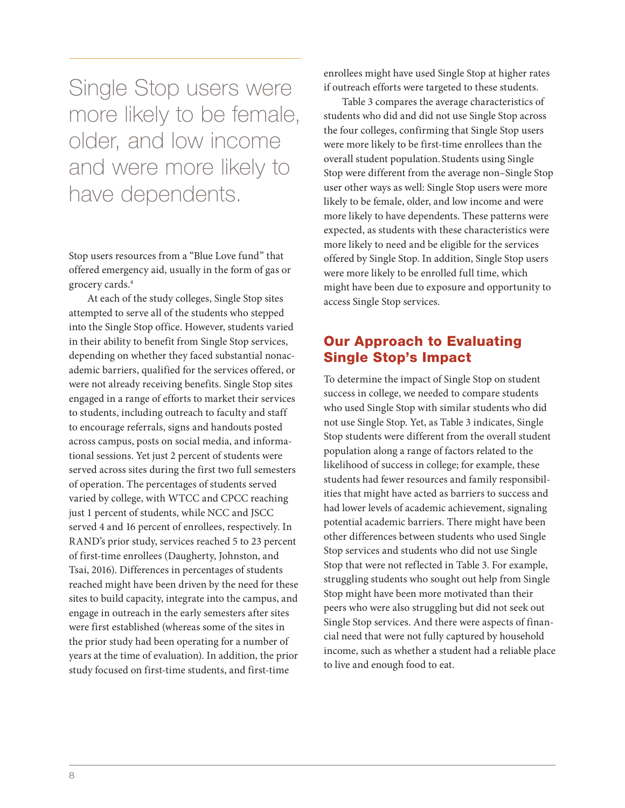Single Stop users were more likely to be female, older, and low income and were more likely to have dependents.

Stop users resources from a "Blue Love fund" that offered emergency aid, usually in the form of gas or grocery cards.4

At each of the study colleges, Single Stop sites attempted to serve all of the students who stepped into the Single Stop office. However, students varied in their ability to benefit from Single Stop services, depending on whether they faced substantial nonacademic barriers, qualified for the services offered, or were not already receiving benefits. Single Stop sites engaged in a range of efforts to market their services to students, including outreach to faculty and staff to encourage referrals, signs and handouts posted across campus, posts on social media, and informational sessions. Yet just 2 percent of students were served across sites during the first two full semesters of operation. The percentages of students served varied by college, with WTCC and CPCC reaching just 1 percent of students, while NCC and JSCC served 4 and 16 percent of enrollees, respectively. In RAND's prior study, services reached 5 to 23 percent of first-time enrollees (Daugherty, Johnston, and Tsai, 2016). Differences in percentages of students reached might have been driven by the need for these sites to build capacity, integrate into the campus, and engage in outreach in the early semesters after sites were first established (whereas some of the sites in the prior study had been operating for a number of years at the time of evaluation). In addition, the prior study focused on first-time students, and first-time

enrollees might have used Single Stop at higher rates if outreach efforts were targeted to these students.

Table 3 compares the average characteristics of students who did and did not use Single Stop across the four colleges, confirming that Single Stop users were more likely to be first-time enrollees than the overall student population. Students using Single Stop were different from the average non–Single Stop user other ways as well: Single Stop users were more likely to be female, older, and low income and were more likely to have dependents. These patterns were expected, as students with these characteristics were more likely to need and be eligible for the services offered by Single Stop. In addition, Single Stop users were more likely to be enrolled full time, which might have been due to exposure and opportunity to access Single Stop services.

# Our Approach to Evaluating Single Stop's Impact

To determine the impact of Single Stop on student success in college, we needed to compare students who used Single Stop with similar students who did not use Single Stop. Yet, as Table 3 indicates, Single Stop students were different from the overall student population along a range of factors related to the likelihood of success in college; for example, these students had fewer resources and family responsibilities that might have acted as barriers to success and had lower levels of academic achievement, signaling potential academic barriers. There might have been other differences between students who used Single Stop services and students who did not use Single Stop that were not reflected in Table 3. For example, struggling students who sought out help from Single Stop might have been more motivated than their peers who were also struggling but did not seek out Single Stop services. And there were aspects of financial need that were not fully captured by household income, such as whether a student had a reliable place to live and enough food to eat.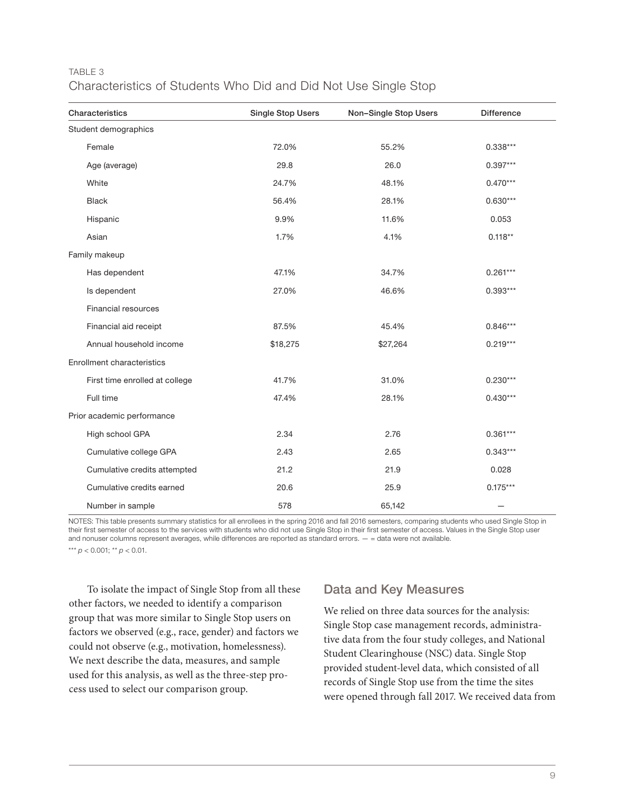#### TABLE 3 Characteristics of Students Who Did and Did Not Use Single Stop

| Characteristics                | <b>Single Stop Users</b> | Non-Single Stop Users | <b>Difference</b> |  |
|--------------------------------|--------------------------|-----------------------|-------------------|--|
| Student demographics           |                          |                       |                   |  |
| Female                         | 72.0%                    | 55.2%                 | $0.338***$        |  |
| Age (average)                  | 29.8                     | 26.0                  | $0.397***$        |  |
| White                          | 24.7%                    | 48.1%                 | $0.470***$        |  |
| <b>Black</b>                   | 56.4%                    | 28.1%                 | $0.630***$        |  |
| Hispanic                       | 9.9%                     | 11.6%                 | 0.053             |  |
| Asian                          | 1.7%                     | 4.1%                  | $0.118**$         |  |
| Family makeup                  |                          |                       |                   |  |
| Has dependent                  | 47.1%                    | 34.7%                 | $0.261***$        |  |
| Is dependent                   | 27.0%                    | 46.6%                 | $0.393***$        |  |
| Financial resources            |                          |                       |                   |  |
| Financial aid receipt          | 87.5%                    | 45.4%                 | $0.846***$        |  |
| Annual household income        | \$18,275                 | \$27,264              | $0.219***$        |  |
| Enrollment characteristics     |                          |                       |                   |  |
| First time enrolled at college | 41.7%                    | 31.0%                 | $0.230***$        |  |
| Full time                      | 47.4%                    | 28.1%                 | $0.430***$        |  |
| Prior academic performance     |                          |                       |                   |  |
| High school GPA                | 2.34                     | 2.76                  | $0.361***$        |  |
| Cumulative college GPA         | 2.43                     | 2.65                  | $0.343***$        |  |
| Cumulative credits attempted   | 21.2                     | 21.9                  | 0.028             |  |
| Cumulative credits earned      | 20.6                     | 25.9                  | $0.175***$        |  |
| Number in sample               | 578                      | 65,142                |                   |  |

NOTES: This table presents summary statistics for all enrollees in the spring 2016 and fall 2016 semesters, comparing students who used Single Stop in their first semester of access to the services with students who did not use Single Stop in their first semester of access. Values in the Single Stop user and nonuser columns represent averages, while differences are reported as standard errors.  $-$  = data were not available.

\*\*\* *p* < 0.001; \*\* *p* < 0.01.

To isolate the impact of Single Stop from all these other factors, we needed to identify a comparison group that was more similar to Single Stop users on factors we observed (e.g., race, gender) and factors we could not observe (e.g., motivation, homelessness). We next describe the data, measures, and sample used for this analysis, as well as the three-step process used to select our comparison group.

#### Data and Key Measures

We relied on three data sources for the analysis: Single Stop case management records, administrative data from the four study colleges, and National Student Clearinghouse (NSC) data. Single Stop provided student-level data, which consisted of all records of Single Stop use from the time the sites were opened through fall 2017. We received data from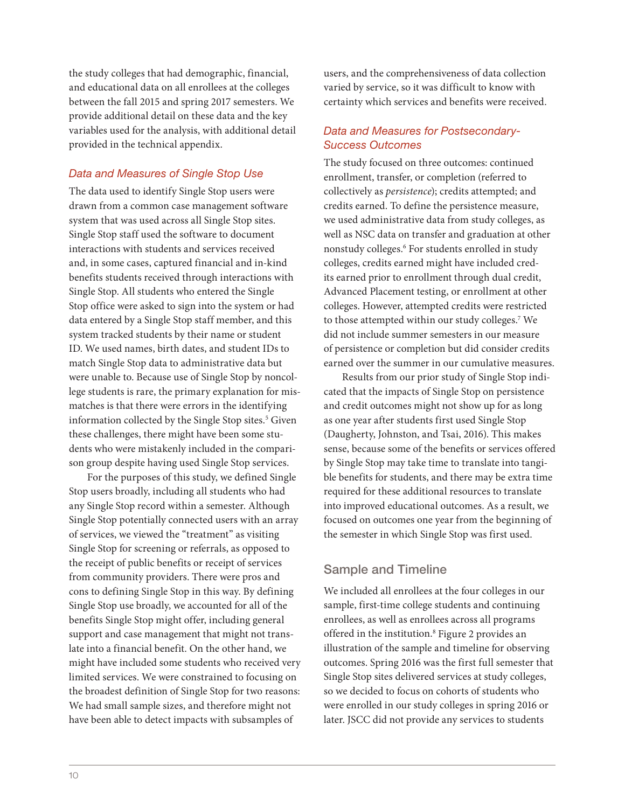the study colleges that had demographic, financial, and educational data on all enrollees at the colleges between the fall 2015 and spring 2017 semesters. We provide additional detail on these data and the key variables used for the analysis, with additional detail provided in the technical appendix.

#### *Data and Measures of Single Stop Use*

The data used to identify Single Stop users were drawn from a common case management software system that was used across all Single Stop sites. Single Stop staff used the software to document interactions with students and services received and, in some cases, captured financial and in-kind benefits students received through interactions with Single Stop. All students who entered the Single Stop office were asked to sign into the system or had data entered by a Single Stop staff member, and this system tracked students by their name or student ID. We used names, birth dates, and student IDs to match Single Stop data to administrative data but were unable to. Because use of Single Stop by noncollege students is rare, the primary explanation for mismatches is that there were errors in the identifying information collected by the Single Stop sites.<sup>5</sup> Given these challenges, there might have been some students who were mistakenly included in the comparison group despite having used Single Stop services.

For the purposes of this study, we defined Single Stop users broadly, including all students who had any Single Stop record within a semester. Although Single Stop potentially connected users with an array of services, we viewed the "treatment" as visiting Single Stop for screening or referrals, as opposed to the receipt of public benefits or receipt of services from community providers. There were pros and cons to defining Single Stop in this way. By defining Single Stop use broadly, we accounted for all of the benefits Single Stop might offer, including general support and case management that might not translate into a financial benefit. On the other hand, we might have included some students who received very limited services. We were constrained to focusing on the broadest definition of Single Stop for two reasons: We had small sample sizes, and therefore might not have been able to detect impacts with subsamples of

users, and the comprehensiveness of data collection varied by service, so it was difficult to know with certainty which services and benefits were received.

#### *Data and Measures for Postsecondary-Success Outcomes*

The study focused on three outcomes: continued enrollment, transfer, or completion (referred to collectively as *persistence*); credits attempted; and credits earned. To define the persistence measure, we used administrative data from study colleges, as well as NSC data on transfer and graduation at other nonstudy colleges.6 For students enrolled in study colleges, credits earned might have included credits earned prior to enrollment through dual credit, Advanced Placement testing, or enrollment at other colleges. However, attempted credits were restricted to those attempted within our study colleges.7 We did not include summer semesters in our measure of persistence or completion but did consider credits earned over the summer in our cumulative measures.

Results from our prior study of Single Stop indicated that the impacts of Single Stop on persistence and credit outcomes might not show up for as long as one year after students first used Single Stop (Daugherty, Johnston, and Tsai, 2016). This makes sense, because some of the benefits or services offered by Single Stop may take time to translate into tangible benefits for students, and there may be extra time required for these additional resources to translate into improved educational outcomes. As a result, we focused on outcomes one year from the beginning of the semester in which Single Stop was first used.

#### Sample and Timeline

We included all enrollees at the four colleges in our sample, first-time college students and continuing enrollees, as well as enrollees across all programs offered in the institution.<sup>8</sup> Figure 2 provides an illustration of the sample and timeline for observing outcomes. Spring 2016 was the first full semester that Single Stop sites delivered services at study colleges, so we decided to focus on cohorts of students who were enrolled in our study colleges in spring 2016 or later. JSCC did not provide any services to students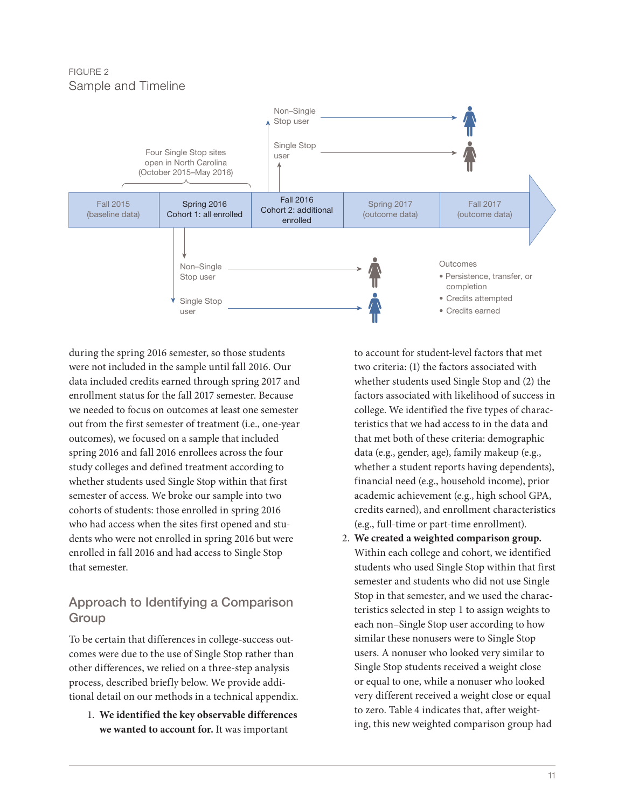FIGURE 2 Sample and Timeline



during the spring 2016 semester, so those students were not included in the sample until fall 2016. Our data included credits earned through spring 2017 and enrollment status for the fall 2017 semester. Because we needed to focus on outcomes at least one semester out from the first semester of treatment (i.e., one-year outcomes), we focused on a sample that included spring 2016 and fall 2016 enrollees across the four study colleges and defined treatment according to whether students used Single Stop within that first semester of access. We broke our sample into two cohorts of students: those enrolled in spring 2016 who had access when the sites first opened and students who were not enrolled in spring 2016 but were enrolled in fall 2016 and had access to Single Stop that semester.

# Approach to Identifying a Comparison **Group**

To be certain that differences in college-success outcomes were due to the use of Single Stop rather than other differences, we relied on a three-step analysis process, described briefly below. We provide additional detail on our methods in a technical appendix.

1. **We identified the key observable differences we wanted to account for.** It was important

to account for student-level factors that met two criteria: (1) the factors associated with whether students used Single Stop and (2) the factors associated with likelihood of success in college. We identified the five types of characteristics that we had access to in the data and that met both of these criteria: demographic data (e.g., gender, age), family makeup (e.g., whether a student reports having dependents), financial need (e.g., household income), prior academic achievement (e.g., high school GPA, credits earned), and enrollment characteristics (e.g., full-time or part-time enrollment).

2. **We created a weighted comparison group.**  Within each college and cohort, we identified students who used Single Stop within that first semester and students who did not use Single Stop in that semester, and we used the characteristics selected in step 1 to assign weights to each non–Single Stop user according to how similar these nonusers were to Single Stop users. A nonuser who looked very similar to Single Stop students received a weight close or equal to one, while a nonuser who looked very different received a weight close or equal to zero. Table 4 indicates that, after weighting, this new weighted comparison group had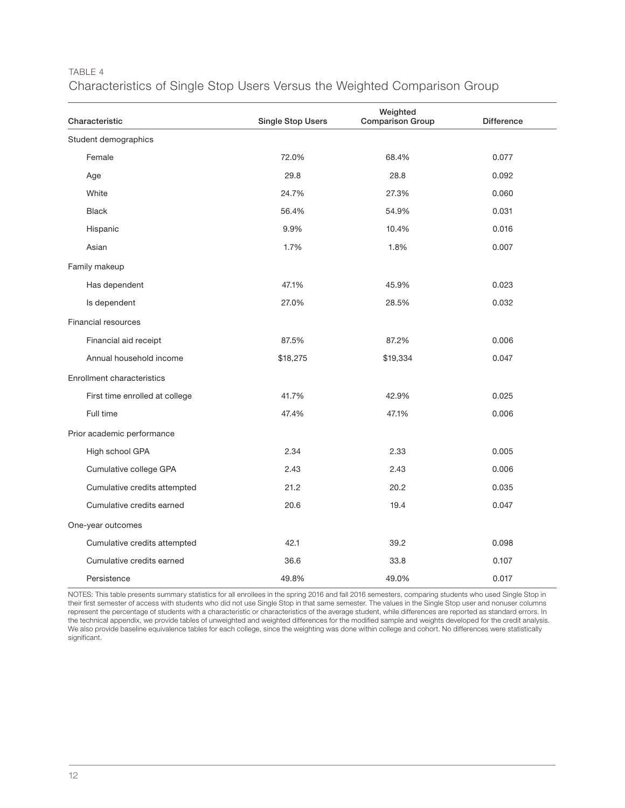#### TABLE 4 Characteristics of Single Stop Users Versus the Weighted Comparison Group Characteristic **Single Stop Users** Weighted Comparison Group Difference Student demographics Female 72.0% 68.4% 0.077

| Student demographics           |          |          |       |  |  |
|--------------------------------|----------|----------|-------|--|--|
| Female                         | 72.0%    | 68.4%    | 0.077 |  |  |
| Age                            | 29.8     | 28.8     | 0.092 |  |  |
| White                          | 24.7%    | 27.3%    | 0.060 |  |  |
| <b>Black</b>                   | 56.4%    | 54.9%    | 0.031 |  |  |
| Hispanic                       | 9.9%     | 10.4%    | 0.016 |  |  |
| Asian                          | 1.7%     | 1.8%     | 0.007 |  |  |
| Family makeup                  |          |          |       |  |  |
| Has dependent                  | 47.1%    | 45.9%    | 0.023 |  |  |
| Is dependent                   | 27.0%    | 28.5%    | 0.032 |  |  |
| Financial resources            |          |          |       |  |  |
| Financial aid receipt          | 87.5%    | 87.2%    | 0.006 |  |  |
| Annual household income        | \$18,275 | \$19,334 | 0.047 |  |  |
| Enrollment characteristics     |          |          |       |  |  |
| First time enrolled at college | 41.7%    | 42.9%    | 0.025 |  |  |
| Full time                      | 47.4%    | 47.1%    | 0.006 |  |  |
| Prior academic performance     |          |          |       |  |  |
| High school GPA                | 2.34     | 2.33     | 0.005 |  |  |
| Cumulative college GPA         | 2.43     | 2.43     | 0.006 |  |  |
| Cumulative credits attempted   | 21.2     | 20.2     | 0.035 |  |  |
| Cumulative credits earned      | 20.6     | 19.4     | 0.047 |  |  |
| One-year outcomes              |          |          |       |  |  |
| Cumulative credits attempted   | 42.1     | 39.2     | 0.098 |  |  |
| Cumulative credits earned      | 36.6     | 33.8     | 0.107 |  |  |
| Persistence                    | 49.8%    | 49.0%    | 0.017 |  |  |

NOTES: This table presents summary statistics for all enrollees in the spring 2016 and fall 2016 semesters, comparing students who used Single Stop in their first semester of access with students who did not use Single Stop in that same semester. The values in the Single Stop user and nonuser columns represent the percentage of students with a characteristic or characteristics of the average student, while differences are reported as standard errors. In the technical appendix, we provide tables of unweighted and weighted differences for the modified sample and weights developed for the credit analysis. We also provide baseline equivalence tables for each college, since the weighting was done within college and cohort. No differences were statistically significant.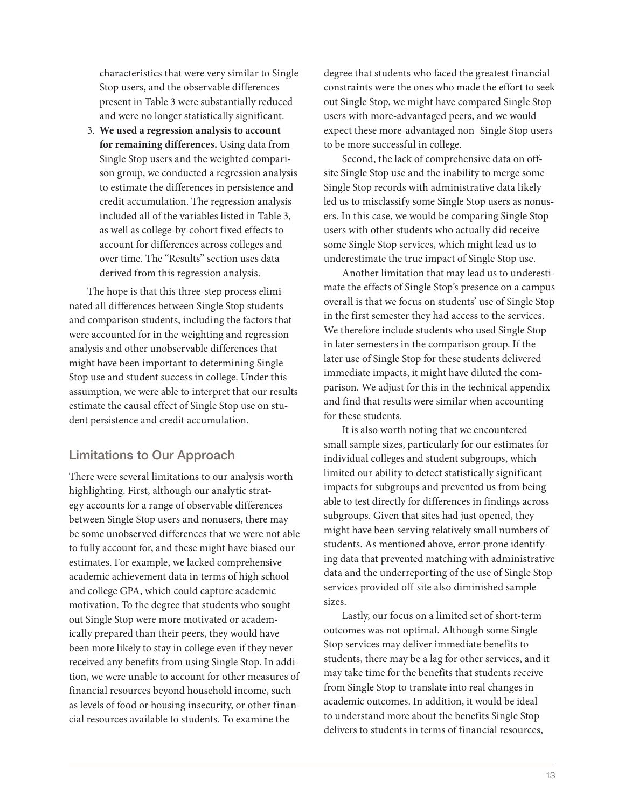characteristics that were very similar to Single Stop users, and the observable differences present in Table 3 were substantially reduced and were no longer statistically significant.

3. **We used a regression analysis to account for remaining differences.** Using data from Single Stop users and the weighted comparison group, we conducted a regression analysis to estimate the differences in persistence and credit accumulation. The regression analysis included all of the variables listed in Table 3, as well as college-by-cohort fixed effects to account for differences across colleges and over time. The "Results" section uses data derived from this regression analysis.

The hope is that this three-step process eliminated all differences between Single Stop students and comparison students, including the factors that were accounted for in the weighting and regression analysis and other unobservable differences that might have been important to determining Single Stop use and student success in college. Under this assumption, we were able to interpret that our results estimate the causal effect of Single Stop use on student persistence and credit accumulation.

#### Limitations to Our Approach

There were several limitations to our analysis worth highlighting. First, although our analytic strategy accounts for a range of observable differences between Single Stop users and nonusers, there may be some unobserved differences that we were not able to fully account for, and these might have biased our estimates. For example, we lacked comprehensive academic achievement data in terms of high school and college GPA, which could capture academic motivation. To the degree that students who sought out Single Stop were more motivated or academically prepared than their peers, they would have been more likely to stay in college even if they never received any benefits from using Single Stop. In addition, we were unable to account for other measures of financial resources beyond household income, such as levels of food or housing insecurity, or other financial resources available to students. To examine the

degree that students who faced the greatest financial constraints were the ones who made the effort to seek out Single Stop, we might have compared Single Stop users with more-advantaged peers, and we would expect these more-advantaged non–Single Stop users to be more successful in college.

Second, the lack of comprehensive data on offsite Single Stop use and the inability to merge some Single Stop records with administrative data likely led us to misclassify some Single Stop users as nonusers. In this case, we would be comparing Single Stop users with other students who actually did receive some Single Stop services, which might lead us to underestimate the true impact of Single Stop use.

Another limitation that may lead us to underestimate the effects of Single Stop's presence on a campus overall is that we focus on students' use of Single Stop in the first semester they had access to the services. We therefore include students who used Single Stop in later semesters in the comparison group. If the later use of Single Stop for these students delivered immediate impacts, it might have diluted the comparison. We adjust for this in the technical appendix and find that results were similar when accounting for these students.

It is also worth noting that we encountered small sample sizes, particularly for our estimates for individual colleges and student subgroups, which limited our ability to detect statistically significant impacts for subgroups and prevented us from being able to test directly for differences in findings across subgroups. Given that sites had just opened, they might have been serving relatively small numbers of students. As mentioned above, error-prone identifying data that prevented matching with administrative data and the underreporting of the use of Single Stop services provided off-site also diminished sample sizes.

Lastly, our focus on a limited set of short-term outcomes was not optimal. Although some Single Stop services may deliver immediate benefits to students, there may be a lag for other services, and it may take time for the benefits that students receive from Single Stop to translate into real changes in academic outcomes. In addition, it would be ideal to understand more about the benefits Single Stop delivers to students in terms of financial resources,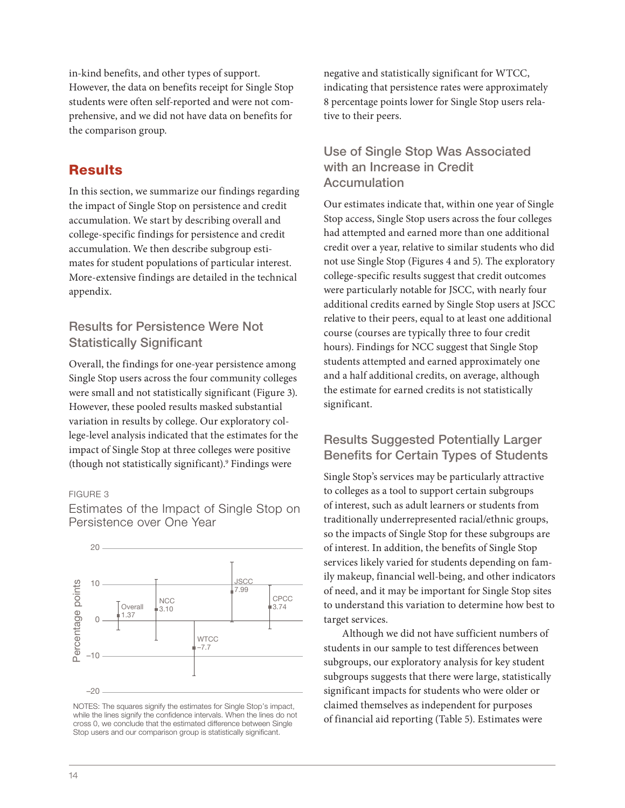in-kind benefits, and other types of support. However, the data on benefits receipt for Single Stop students were often self-reported and were not comprehensive, and we did not have data on benefits for the comparison group.

# **Results**

In this section, we summarize our findings regarding the impact of Single Stop on persistence and credit accumulation. We start by describing overall and college-specific findings for persistence and credit accumulation. We then describe subgroup estimates for student populations of particular interest. More-extensive findings are detailed in the technical appendix.

# Results for Persistence Were Not Statistically Significant

Overall, the findings for one-year persistence among Single Stop users across the four community colleges were small and not statistically significant (Figure 3). However, these pooled results masked substantial variation in results by college. Our exploratory college-level analysis indicated that the estimates for the impact of Single Stop at three colleges were positive (though not statistically significant).9 Findings were

#### FIGURE 3



Estimates of the Impact of Single Stop on Persistence over One Year

NOTES: The squares signify the estimates for Single Stop's impact, while the lines signify the confidence intervals. When the lines do not cross 0, we conclude that the estimated difference between Single Stop users and our comparison group is statistically significant.

negative and statistically significant for WTCC, indicating that persistence rates were approximately 8 percentage points lower for Single Stop users relative to their peers.

# Use of Single Stop Was Associated with an Increase in Credit **Accumulation**

Our estimates indicate that, within one year of Single Stop access, Single Stop users across the four colleges had attempted and earned more than one additional credit over a year, relative to similar students who did not use Single Stop (Figures 4 and 5). The exploratory college-specific results suggest that credit outcomes were particularly notable for JSCC, with nearly four additional credits earned by Single Stop users at JSCC relative to their peers, equal to at least one additional course (courses are typically three to four credit hours). Findings for NCC suggest that Single Stop students attempted and earned approximately one and a half additional credits, on average, although the estimate for earned credits is not statistically significant.

# Results Suggested Potentially Larger Benefits for Certain Types of Students

Single Stop's services may be particularly attractive to colleges as a tool to support certain subgroups of interest, such as adult learners or students from traditionally underrepresented racial/ethnic groups, so the impacts of Single Stop for these subgroups are of interest. In addition, the benefits of Single Stop services likely varied for students depending on family makeup, financial well-being, and other indicators of need, and it may be important for Single Stop sites to understand this variation to determine how best to target services.

Although we did not have sufficient numbers of students in our sample to test differences between subgroups, our exploratory analysis for key student subgroups suggests that there were large, statistically significant impacts for students who were older or claimed themselves as independent for purposes of financial aid reporting (Table 5). Estimates were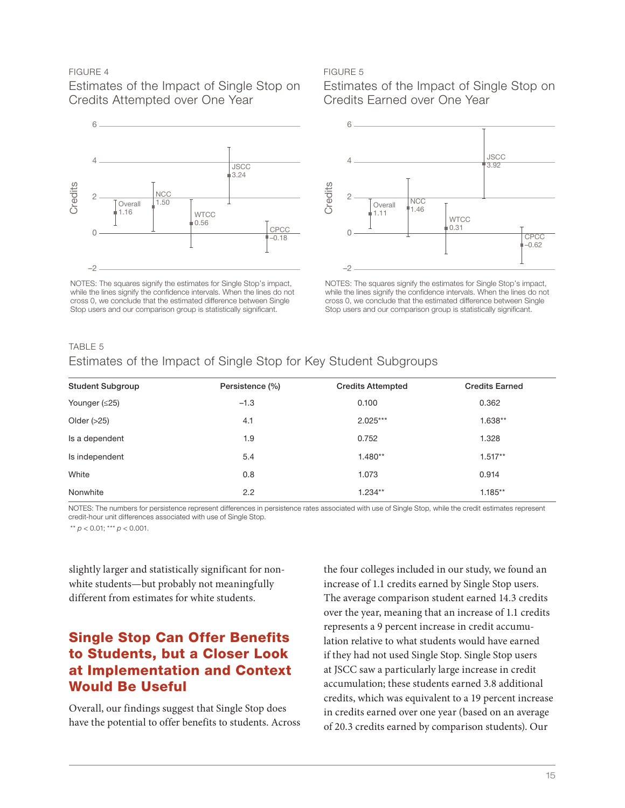#### FIGURE 4

Estimates of the Impact of Single Stop on Credits Attempted over One Year



NOTES: The squares signify the estimates for Single Stop's impact, while the lines signify the confidence intervals. When the lines do not cross 0, we conclude that the estimated difference between Single Stop users and our comparison group is statistically significant.

#### FIGURE 5

Estimates of the Impact of Single Stop on Credits Earned over One Year



NOTES: The squares signify the estimates for Single Stop's impact, while the lines signify the confidence intervals. When the lines do not cross 0, we conclude that the estimated difference between Single Stop users and our comparison group is statistically significant.

#### TABLE 5

#### Estimates of the Impact of Single Stop for Key Student Subgroups

| <b>Student Subgroup</b> | Persistence (%) | <b>Credits Attempted</b> | <b>Credits Earned</b> |
|-------------------------|-----------------|--------------------------|-----------------------|
| Younger $(≤25)$         | $-1.3$          | 0.100                    | 0.362                 |
| Older $(>25)$           | 4.1             | $2.025***$               | $1.638**$             |
| Is a dependent          | 1.9             | 0.752                    | 1.328                 |
| Is independent          | 5.4             | $1.480**$                | $1.517**$             |
| White                   | 0.8             | 1.073                    | 0.914                 |
| Nonwhite                | 2.2             | $1.234**$                | $1.185**$             |

NOTES: The numbers for persistence represent differences in persistence rates associated with use of Single Stop, while the credit estimates represent credit-hour unit differences associated with use of Single Stop.

\*\* *p* < 0.01; \*\*\* *p* < 0.001.

slightly larger and statistically significant for nonwhite students—but probably not meaningfully different from estimates for white students.

# Single Stop Can Offer Benefits to Students, but a Closer Look at Implementation and Context Would Be Useful

Overall, our findings suggest that Single Stop does have the potential to offer benefits to students. Across

the four colleges included in our study, we found an increase of 1.1 credits earned by Single Stop users. The average comparison student earned 14.3 credits over the year, meaning that an increase of 1.1 credits represents a 9 percent increase in credit accumulation relative to what students would have earned if they had not used Single Stop. Single Stop users at JSCC saw a particularly large increase in credit accumulation; these students earned 3.8 additional credits, which was equivalent to a 19 percent increase in credits earned over one year (based on an average of 20.3 credits earned by comparison students). Our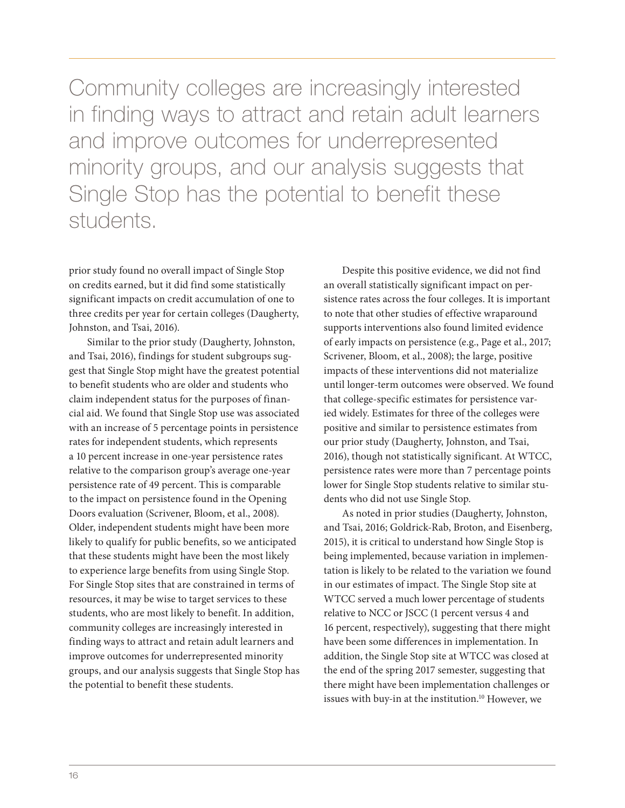Community colleges are increasingly interested in finding ways to attract and retain adult learners and improve outcomes for underrepresented minority groups, and our analysis suggests that Single Stop has the potential to benefit these students.

prior study found no overall impact of Single Stop on credits earned, but it did find some statistically significant impacts on credit accumulation of one to three credits per year for certain colleges (Daugherty, Johnston, and Tsai, 2016).

Similar to the prior study (Daugherty, Johnston, and Tsai, 2016), findings for student subgroups suggest that Single Stop might have the greatest potential to benefit students who are older and students who claim independent status for the purposes of financial aid. We found that Single Stop use was associated with an increase of 5 percentage points in persistence rates for independent students, which represents a 10 percent increase in one-year persistence rates relative to the comparison group's average one-year persistence rate of 49 percent. This is comparable to the impact on persistence found in the Opening Doors evaluation (Scrivener, Bloom, et al., 2008). Older, independent students might have been more likely to qualify for public benefits, so we anticipated that these students might have been the most likely to experience large benefits from using Single Stop. For Single Stop sites that are constrained in terms of resources, it may be wise to target services to these students, who are most likely to benefit. In addition, community colleges are increasingly interested in finding ways to attract and retain adult learners and improve outcomes for underrepresented minority groups, and our analysis suggests that Single Stop has the potential to benefit these students.

Despite this positive evidence, we did not find an overall statistically significant impact on persistence rates across the four colleges. It is important to note that other studies of effective wraparound supports interventions also found limited evidence of early impacts on persistence (e.g., Page et al., 2017; Scrivener, Bloom, et al., 2008); the large, positive impacts of these interventions did not materialize until longer-term outcomes were observed. We found that college-specific estimates for persistence varied widely. Estimates for three of the colleges were positive and similar to persistence estimates from our prior study (Daugherty, Johnston, and Tsai, 2016), though not statistically significant. At WTCC, persistence rates were more than 7 percentage points lower for Single Stop students relative to similar students who did not use Single Stop.

As noted in prior studies (Daugherty, Johnston, and Tsai, 2016; Goldrick-Rab, Broton, and Eisenberg, 2015), it is critical to understand how Single Stop is being implemented, because variation in implementation is likely to be related to the variation we found in our estimates of impact. The Single Stop site at WTCC served a much lower percentage of students relative to NCC or JSCC (1 percent versus 4 and 16 percent, respectively), suggesting that there might have been some differences in implementation. In addition, the Single Stop site at WTCC was closed at the end of the spring 2017 semester, suggesting that there might have been implementation challenges or issues with buy-in at the institution.<sup>10</sup> However, we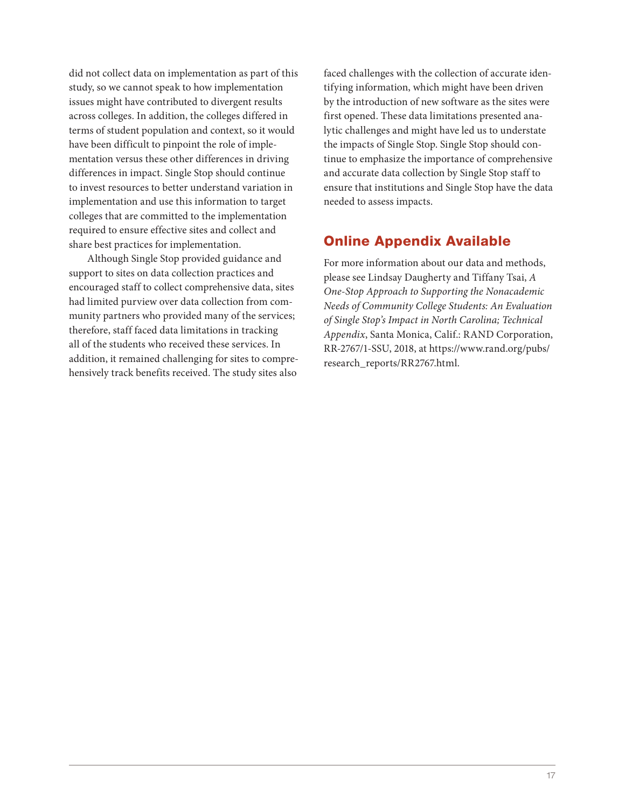did not collect data on implementation as part of this study, so we cannot speak to how implementation issues might have contributed to divergent results across colleges. In addition, the colleges differed in terms of student population and context, so it would have been difficult to pinpoint the role of implementation versus these other differences in driving differences in impact. Single Stop should continue to invest resources to better understand variation in implementation and use this information to target colleges that are committed to the implementation required to ensure effective sites and collect and share best practices for implementation.

Although Single Stop provided guidance and support to sites on data collection practices and encouraged staff to collect comprehensive data, sites had limited purview over data collection from community partners who provided many of the services; therefore, staff faced data limitations in tracking all of the students who received these services. In addition, it remained challenging for sites to comprehensively track benefits received. The study sites also

faced challenges with the collection of accurate identifying information, which might have been driven by the introduction of new software as the sites were first opened. These data limitations presented analytic challenges and might have led us to understate the impacts of Single Stop. Single Stop should continue to emphasize the importance of comprehensive and accurate data collection by Single Stop staff to ensure that institutions and Single Stop have the data needed to assess impacts.

# Online Appendix Available

For more information about our data and methods, please see Lindsay Daugherty and Tiffany Tsai, *A One-Stop Approach to Supporting the Nonacademic Needs of Community College Students: An Evaluation of Single Stop's Impact in North Carolina; Technical Appendix*, Santa Monica, Calif.: RAND Corporation, RR-2767/1-SSU, 2018, at [https://www.rand.org/pubs/](https://www.rand.org/pubs/research_reports/RR2767.html) [research\\_reports/RR2767.html.](https://www.rand.org/pubs/research_reports/RR2767.html)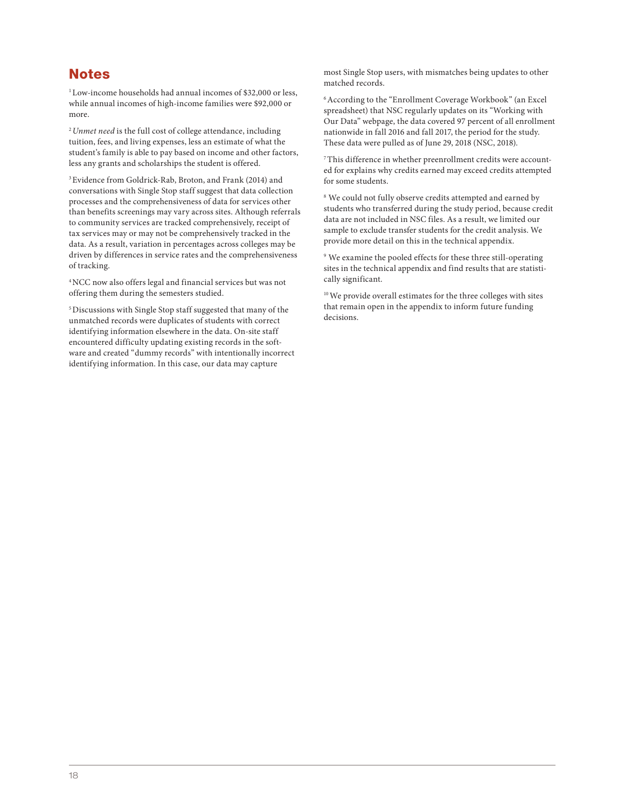# **Notes**

<sup>1</sup> Low-income households had annual incomes of \$32,000 or less, while annual incomes of high-income families were \$92,000 or more.

<sup>2</sup>*Unmet need* is the full cost of college attendance, including tuition, fees, and living expenses, less an estimate of what the student's family is able to pay based on income and other factors, less any grants and scholarships the student is offered.

3 Evidence from Goldrick-Rab, Broton, and Frank (2014) and conversations with Single Stop staff suggest that data collection processes and the comprehensiveness of data for services other than benefits screenings may vary across sites. Although referrals to community services are tracked comprehensively, receipt of tax services may or may not be comprehensively tracked in the data. As a result, variation in percentages across colleges may be driven by differences in service rates and the comprehensiveness of tracking.

4 NCC now also offers legal and financial services but was not offering them during the semesters studied.

5 Discussions with Single Stop staff suggested that many of the unmatched records were duplicates of students with correct identifying information elsewhere in the data. On-site staff encountered difficulty updating existing records in the software and created "dummy records" with intentionally incorrect identifying information. In this case, our data may capture

most Single Stop users, with mismatches being updates to other matched records.

6 According to the "Enrollment Coverage Workbook" (an Excel spreadsheet) that NSC regularly updates on its "Working with Our Data" webpage, the data covered 97 percent of all enrollment nationwide in fall 2016 and fall 2017, the period for the study. These data were pulled as of June 29, 2018 (NSC, 2018).

7 This difference in whether preenrollment credits were accounted for explains why credits earned may exceed credits attempted for some students.

8 We could not fully observe credits attempted and earned by students who transferred during the study period, because credit data are not included in NSC files. As a result, we limited our sample to exclude transfer students for the credit analysis. We provide more detail on this in the technical appendix.

9 We examine the pooled effects for these three still-operating sites in the technical appendix and find results that are statistically significant.

10 We provide overall estimates for the three colleges with sites that remain open in the appendix to inform future funding decisions.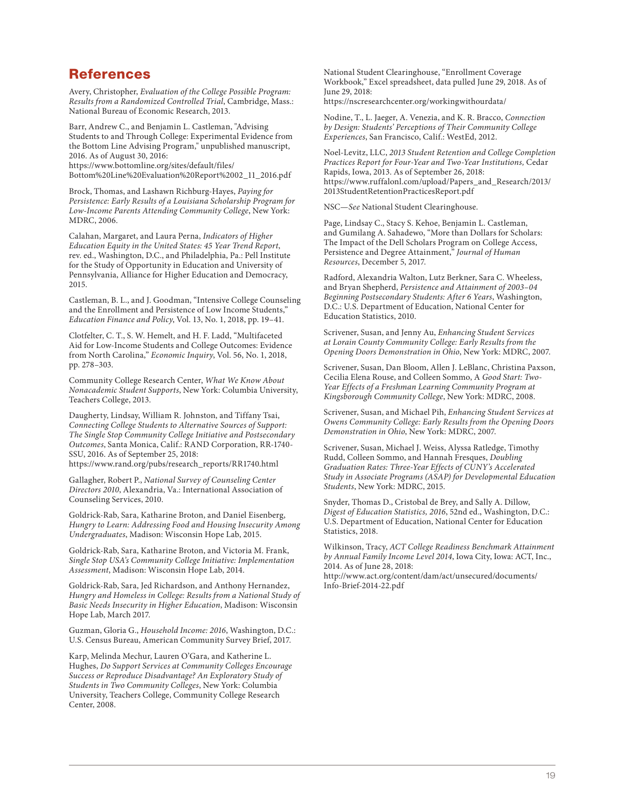### References

Avery, Christopher, *Evaluation of the College Possible Program: Results from a Randomized Controlled Trial*, Cambridge, Mass.: National Bureau of Economic Research, 2013.

Barr, Andrew C., and Benjamin L. Castleman, "Advising Students to and Through College: Experimental Evidence from the Bottom Line Advising Program," unpublished manuscript, 2016. As of August 30, 2016: https://www.bottomline.org/sites/default/files/

[Bottom%20Line%20Evaluation%20Report%2002\\_11\\_2016.pdf](https://www.bottomline.org/sites/default/files/Bottom%20Line%20Evaluation%20Report%2002_11_2016.pdf)

Brock, Thomas, and Lashawn Richburg-Hayes, *Paying for Persistence: Early Results of a Louisiana Scholarship Program for Low-Income Parents Attending Community College*, New York: MDRC, 2006.

Calahan, Margaret, and Laura Perna, *Indicators of Higher Education Equity in the United States: 45 Year Trend Report*, rev. ed., Washington, D.C., and Philadelphia, Pa.: Pell Institute for the Study of Opportunity in Education and University of Pennsylvania, Alliance for Higher Education and Democracy, 2015.

Castleman, B. L., and J. Goodman, "Intensive College Counseling and the Enrollment and Persistence of Low Income Students," *Education Finance and Policy*, Vol. 13, No. 1, 2018, pp. 19–41.

Clotfelter, C. T., S. W. Hemelt, and H. F. Ladd, "Multifaceted Aid for Low‐Income Students and College Outcomes: Evidence from North Carolina," *Economic Inquiry*, Vol. 56, No. 1, 2018, pp. 278–303.

Community College Research Center, *What We Know About Nonacademic Student Supports*, New York: Columbia University, Teachers College, 2013.

Daugherty, Lindsay, William R. Johnston, and Tiffany Tsai, *Connecting College Students to Alternative Sources of Support: The Single Stop Community College Initiative and Postsecondary Outcomes*, Santa Monica, Calif.: RAND Corporation, RR-1740- SSU, 2016. As of September 25, 2018: [https://www.rand.org/pubs/research\\_reports/RR1740.html](https://www.rand.org/pubs/research_reports/RR1740.html)

Gallagher, Robert P., *National Survey of Counseling Center Directors 2010*, Alexandria, Va.: International Association of Counseling Services, 2010.

Goldrick-Rab, Sara, Katharine Broton, and Daniel Eisenberg, *Hungry to Learn: Addressing Food and Housing Insecurity Among Undergraduates*, Madison: Wisconsin Hope Lab, 2015.

Goldrick-Rab, Sara, Katharine Broton, and Victoria M. Frank, *Single Stop USA's Community College Initiative: Implementation Assessment*, Madison: Wisconsin Hope Lab, 2014.

Goldrick-Rab, Sara, Jed Richardson, and Anthony Hernandez, *Hungry and Homeless in College: Results from a National Study of Basic Needs Insecurity in Higher Education*, Madison: Wisconsin Hope Lab, March 2017.

Guzman, Gloria G., *Household Income: 2016*, Washington, D.C.: U.S. Census Bureau, American Community Survey Brief, 2017.

Karp, Melinda Mechur, Lauren O'Gara, and Katherine L. Hughes, *Do Support Services at Community Colleges Encourage Success or Reproduce Disadvantage? An Exploratory Study of Students in Two Community Colleges*, New York: Columbia University, Teachers College, Community College Research Center, 2008.

National Student Clearinghouse, "Enrollment Coverage Workbook," Excel spreadsheet, data pulled June 29, 2018. As of June 29, 2018:

<https://nscresearchcenter.org/workingwithourdata/>

Nodine, T., L. Jaeger, A. Venezia, and K. R. Bracco, *Connection by Design: Students' Perceptions of Their Community College Experiences*, San Francisco, Calif.: WestEd, 2012.

Noel‐Levitz, LLC, *2013 Student Retention and College Completion Practices Report for Four*‐*Year and Two*‐*Year Institutions,* Cedar Rapids, Iowa, 2013. As of September 26, 2018: [https://www.ruffalonl.com/upload/Papers\\_and\\_Research/2013/](https://www.ruffalonl.com/upload/Papers_and_Research/2013/2013StudentRetentionPracticesReport.pdf) 2013StudentRetentionPracticesReport.pdf

NSC—*See* National Student Clearinghouse.

Page, Lindsay C., Stacy S. Kehoe, Benjamin L. Castleman, and Gumilang A. Sahadewo, "More than Dollars for Scholars: The Impact of the Dell Scholars Program on College Access, Persistence and Degree Attainment," *Journal of Human Resources*, December 5, 2017.

Radford, Alexandria Walton, Lutz Berkner, Sara C. Wheeless, and Bryan Shepherd, *Persistence and Attainment of 2003–04 Beginning Postsecondary Students: After 6 Years*, Washington, D.C.: U.S. Department of Education, National Center for Education Statistics, 2010.

Scrivener, Susan, and Jenny Au, *Enhancing Student Services at Lorain County Community College: Early Results from the Opening Doors Demonstration in Ohio*, New York: MDRC, 2007.

Scrivener, Susan, Dan Bloom, Allen J. LeBlanc, Christina Paxson, Cecilia Elena Rouse, and Colleen Sommo, A *Good Start: Two-Year Effects of a Freshman Learning Community Program at Kingsborough Community College*, New York: MDRC, 2008.

Scrivener, Susan, and Michael Pih, *Enhancing Student Services at Owens Community College: Early Results from the Opening Doors Demonstration in Ohio*, New York: MDRC, 2007.

Scrivener, Susan, Michael J. Weiss, Alyssa Ratledge, Timothy Rudd, Colleen Sommo, and Hannah Fresques, *Doubling Graduation Rates: Three-Year Effects of CUNY's Accelerated Study in Associate Programs (ASAP) for Developmental Education Students*, New York: MDRC, 2015.

Snyder, Thomas D., Cristobal de Brey, and Sally A. Dillow, *Digest of Education Statistics, 2016*, 52nd ed., Washington, D.C.: U.S. Department of Education, National Center for Education Statistics, 2018.

Wilkinson, Tracy, *ACT College Readiness Benchmark Attainment by Annual Family Income Level 2014*, Iowa City, Iowa: ACT, Inc., 2014. As of June 28, 2018:

[http://www.act.org/content/dam/act/unsecured/documents/](http://www.act.org/content/dam/act/unsecured/documents/Info-Brief-2014-22.pdf) Info-Brief-2014-22.pdf